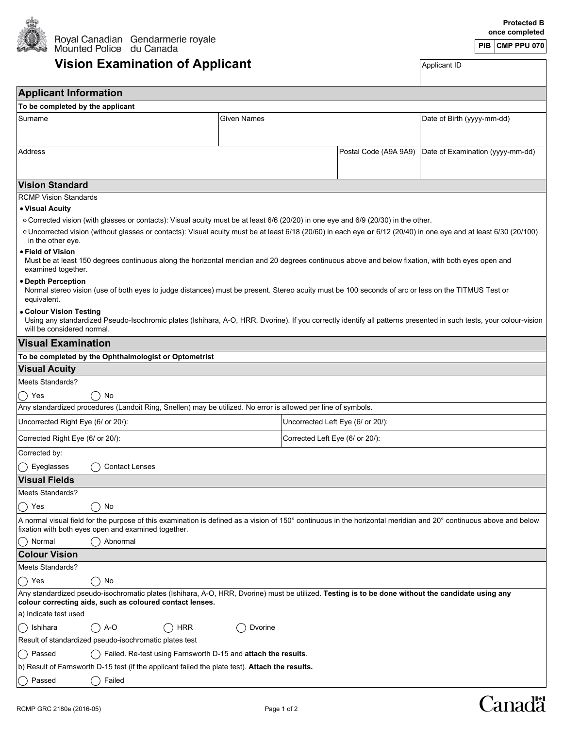

## **Vision Examination of Applicant** Applicant Applicant ID

| <b>Applicant Information</b>                                                                                                                                                                                               |         |                                   |                                  |  |  |  |
|----------------------------------------------------------------------------------------------------------------------------------------------------------------------------------------------------------------------------|---------|-----------------------------------|----------------------------------|--|--|--|
| To be completed by the applicant                                                                                                                                                                                           |         |                                   |                                  |  |  |  |
| Surname<br>Given Names                                                                                                                                                                                                     |         |                                   | Date of Birth (yyyy-mm-dd)       |  |  |  |
|                                                                                                                                                                                                                            |         |                                   |                                  |  |  |  |
| Address                                                                                                                                                                                                                    |         | Postal Code (A9A 9A9)             | Date of Examination (yyyy-mm-dd) |  |  |  |
|                                                                                                                                                                                                                            |         |                                   |                                  |  |  |  |
|                                                                                                                                                                                                                            |         |                                   |                                  |  |  |  |
| <b>Vision Standard</b>                                                                                                                                                                                                     |         |                                   |                                  |  |  |  |
| <b>RCMP Vision Standards</b>                                                                                                                                                                                               |         |                                   |                                  |  |  |  |
| • Visual Acuity                                                                                                                                                                                                            |         |                                   |                                  |  |  |  |
| ○ Corrected vision (with glasses or contacts): Visual acuity must be at least 6/6 (20/20) in one eye and 6/9 (20/30) in the other.                                                                                         |         |                                   |                                  |  |  |  |
| o Uncorrected vision (without glasses or contacts): Visual acuity must be at least 6/18 (20/60) in each eye or 6/12 (20/40) in one eye and at least 6/30 (20/100)<br>in the other eye.                                     |         |                                   |                                  |  |  |  |
| • Field of Vision<br>Must be at least 150 degrees continuous along the horizontal meridian and 20 degrees continuous above and below fixation, with both eyes open and<br>examined together.                               |         |                                   |                                  |  |  |  |
| • Depth Perception<br>Normal stereo vision (use of both eyes to judge distances) must be present. Stereo acuity must be 100 seconds of arc or less on the TITMUS Test or<br>equivalent.                                    |         |                                   |                                  |  |  |  |
| • Colour Vision Testing<br>Using any standardized Pseudo-Isochromic plates (Ishihara, A-O, HRR, Dvorine). If you correctly identify all patterns presented in such tests, your colour-vision<br>will be considered normal. |         |                                   |                                  |  |  |  |
| <b>Visual Examination</b>                                                                                                                                                                                                  |         |                                   |                                  |  |  |  |
| To be completed by the Ophthalmologist or Optometrist                                                                                                                                                                      |         |                                   |                                  |  |  |  |
| <b>Visual Acuity</b>                                                                                                                                                                                                       |         |                                   |                                  |  |  |  |
| Meets Standards?                                                                                                                                                                                                           |         |                                   |                                  |  |  |  |
| $\bigcirc$ Yes<br>No                                                                                                                                                                                                       |         |                                   |                                  |  |  |  |
| Any standardized procedures (Landoit Ring, Snellen) may be utilized. No error is allowed per line of symbols.                                                                                                              |         |                                   |                                  |  |  |  |
| Uncorrected Right Eye (6/ or 20/):                                                                                                                                                                                         |         | Uncorrected Left Eye (6/ or 20/): |                                  |  |  |  |
| Corrected Right Eye (6/ or 20/):                                                                                                                                                                                           |         | Corrected Left Eye (6/ or 20/):   |                                  |  |  |  |
| Corrected by:                                                                                                                                                                                                              |         |                                   |                                  |  |  |  |
| Eyeglasses<br><b>Contact Lenses</b>                                                                                                                                                                                        |         |                                   |                                  |  |  |  |
| <b>Visual Fields</b>                                                                                                                                                                                                       |         |                                   |                                  |  |  |  |
| <b>Meets Standards?</b>                                                                                                                                                                                                    |         |                                   |                                  |  |  |  |
| No<br>Yes<br>$\mathcal{L}$<br>$\begin{pmatrix} 1 \\ 1 \end{pmatrix}$                                                                                                                                                       |         |                                   |                                  |  |  |  |
| A normal visual field for the purpose of this examination is defined as a vision of 150° continuous in the horizontal meridian and 20° continuous above and below<br>fixation with both eyes open and examined together.   |         |                                   |                                  |  |  |  |
| Abnormal<br>Normal                                                                                                                                                                                                         |         |                                   |                                  |  |  |  |
| <b>Colour Vision</b>                                                                                                                                                                                                       |         |                                   |                                  |  |  |  |
| Meets Standards?                                                                                                                                                                                                           |         |                                   |                                  |  |  |  |
| No<br>Yes<br>$\rightarrow$                                                                                                                                                                                                 |         |                                   |                                  |  |  |  |
| Any standardized pseudo-isochromatic plates (Ishihara, A-O, HRR, Dvorine) must be utilized. Testing is to be done without the candidate using any<br>colour correcting aids, such as coloured contact lenses.              |         |                                   |                                  |  |  |  |
| a) Indicate test used                                                                                                                                                                                                      |         |                                   |                                  |  |  |  |
| <b>HRR</b><br>Ishihara<br>A-O<br>$\Box$                                                                                                                                                                                    | Dvorine |                                   |                                  |  |  |  |
| Result of standardized pseudo-isochromatic plates test                                                                                                                                                                     |         |                                   |                                  |  |  |  |
| Passed<br>Failed. Re-test using Farnsworth D-15 and attach the results.<br>$\rightarrow$                                                                                                                                   |         |                                   |                                  |  |  |  |
| b) Result of Farnsworth D-15 test (if the applicant failed the plate test). Attach the results.                                                                                                                            |         |                                   |                                  |  |  |  |
| Passed<br>Failed<br>$\left( \quad \right)$                                                                                                                                                                                 |         |                                   |                                  |  |  |  |

## Canadä

**PIB CMP PPU 070**